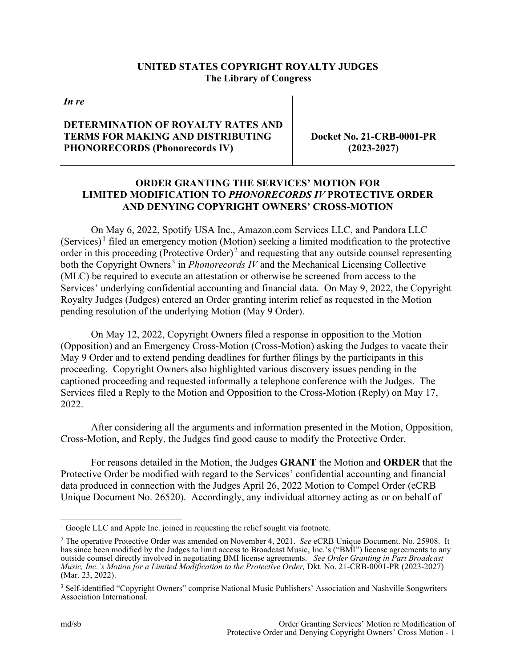## **UNITED STATES COPYRIGHT ROYALTY JUDGES The Library of Congress**

*In re*

## **DETERMINATION OF ROYALTY RATES AND TERMS FOR MAKING AND DISTRIBUTING PHONORECORDS (Phonorecords IV)**

**Docket No. 21-CRB-0001-PR (2023-2027)**

## **ORDER GRANTING THE SERVICES' MOTION FOR LIMITED MODIFICATION TO** *PHONORECORDS IV* **PROTECTIVE ORDER AND DENYING COPYRIGHT OWNERS' CROSS-MOTION**

On May 6, 2022, Spotify USA Inc., Amazon.com Services LLC, and Pandora LLC (Services)<sup>1</sup> filed an emergency motion (Motion) seeking a limited modification to the protective order in this proceeding (Protective Order) $<sup>2</sup>$  and requesting that any outside counsel representing</sup> both the Copyright Owners.<sup>3</sup> in *Phonorecords IV* and the Mechanical Licensing Collective (MLC) be required to execute an attestation or otherwise be screened from access to the Services' underlying confidential accounting and financial data. On May 9, 2022, the Copyright Royalty Judges (Judges) entered an Order granting interim relief as requested in the Motion pending resolution of the underlying Motion (May 9 Order).

On May 12, 2022, Copyright Owners filed a response in opposition to the Motion (Opposition) and an Emergency Cross-Motion (Cross-Motion) asking the Judges to vacate their May 9 Order and to extend pending deadlines for further filings by the participants in this proceeding. Copyright Owners also highlighted various discovery issues pending in the captioned proceeding and requested informally a telephone conference with the Judges. The Services filed a Reply to the Motion and Opposition to the Cross-Motion (Reply) on May 17, 2022.

After considering all the arguments and information presented in the Motion, Opposition, Cross-Motion, and Reply, the Judges find good cause to modify the Protective Order.

For reasons detailed in the Motion, the Judges **GRANT** the Motion and **ORDER** that the Protective Order be modified with regard to the Services' confidential accounting and financial data produced in connection with the Judges April 26, 2022 Motion to Compel Order (eCRB Unique Document No. 26520). Accordingly, any individual attorney acting as or on behalf of

<sup>&</sup>lt;sup>1</sup> Google LLC and Apple Inc. joined in requesting the relief sought via footnote.

<sup>2</sup> The operative Protective Order was amended on November 4, 2021. *See* eCRB Unique Document. No. 25908. It has since been modified by the Judges to limit access to Broadcast Music, Inc.'s ("BMI") license agreements to any outside counsel directly involved in negotiating BMI license agreements. *See Order Granting in Part Broadcast Music, Inc.'s Motion for a Limited Modification to the Protective Order,* Dkt. No. 21-CRB-0001-PR (2023-2027) (Mar. 23, 2022).

<sup>&</sup>lt;sup>3</sup> Self-identified "Copyright Owners" comprise National Music Publishers' Association and Nashville Songwriters Association International.